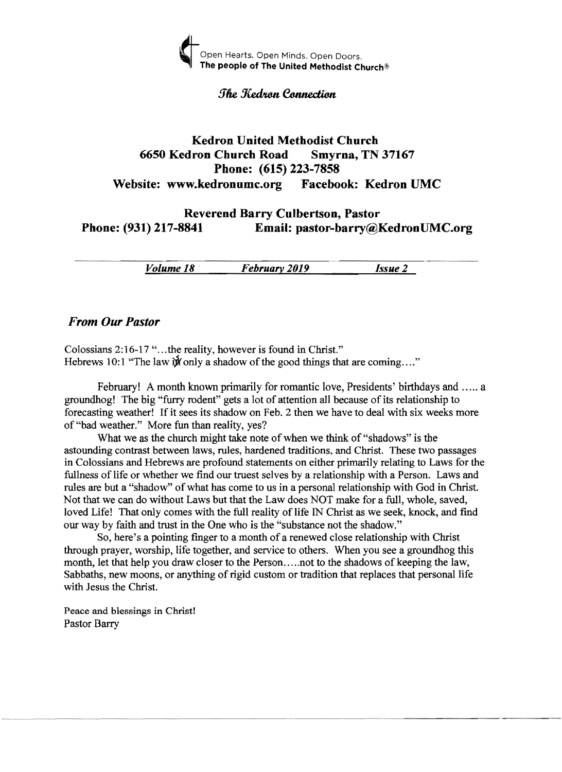

#### *<u>The Kedron Connection</u>*

### Kedron United Methodist Church 6650 Kedron Church Road Smyrna, TN 37167 Phone: (615) 223-7858 Website: www.kedronumc.org Facebook: Kedron UMC

### Reverend Barry Culbertson, Pastor Phone: (931) 217-8841 Email: pastor-barry@KedronUMC.org

*Volume* 18 . *February 2019 Issue 2* 

#### *From Our Pastor*

Colossians 2:16-17 "...the reality, however is found in Christ." Hebrews 10:1 "The law  $\mathbf{\hat{y}}$  only a shadow of the good things that are coming...."

February! A month known primarily for romantic love, Presidents' birthdays and ..... a groundhog! The big "furry rodent" gets a lot of attention all because of its relationship to forecasting weather! If it sees its shadow on Feb. 2 then we have to deal with six weeks more of "bad weather." More fun than reality, yes?

What we as the church might take note of when we think of "shadows" is the astounding contrast between laws, rules, hardened traditions, and Christ. These two passages in Colossians and Hebrews are profound statements on either primarily relating to Laws for the fullness of life or whether we find our truest selves by a relationship with a Person. Laws and rules are but a "shadow" of what has come to us in a personal relationship with God in Christ. Not that we can do without Laws but that the Law does NOT make for a full, whole, saved, loved Life! That only comes with the full reality of life IN Christ as we seek, knock, and find our way by faith and trust in the One who is the "substance not the shadow."

So, here's a pointing finger to a month of a renewed close relationship with Christ through prayer, worship, life together, and service to others. When you see a groundhog this month, let that help you draw closer to the Person.....not to the shadows of keeping the law, Sabbaths, new moons, or anything of rigid custom or tradition that replaces that personal life with Jesus the Christ.

Peace and blessings in Christ! Pastor Barry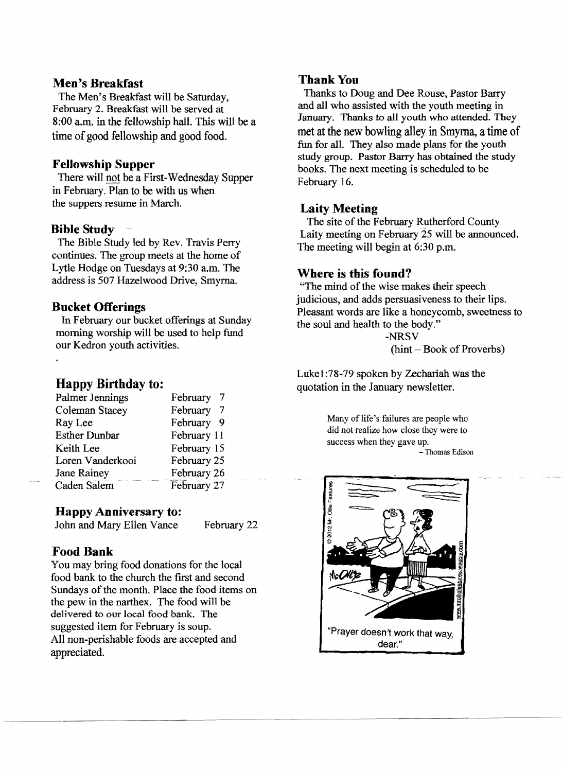#### **Men's Breakfast**

The Men's Breakfast will be Saturday, February 2. Breakfast will be served at 8:00 a.m. in the fellowship hall. This will be a time of good fellowship and good food.

#### **Fellowship Supper**

There will not be a First-Wednesday Supper in February. Plan to be with us when the suppers resume in March.

#### **BibleStndy**

The Bible Study led by Rev. Travis Perry continues. The group meets at the home of Lytle Hodge on Tuesdays at 9:30 a.m. The address is 507 Hazelwood Drive, Smyrna.

#### **Bucket Offerings**

In February our bucket offerings at Sunday morning worship will be used to help fund our Kedron youth activities.

### **Happy Birthday to:**

| Palmer Jennings      | February        |
|----------------------|-----------------|
| Coleman Stacey       | February        |
| Ray Lee              | February<br>- 9 |
| <b>Esther Dunbar</b> | February 11     |
| Keith Lee            | February 15     |
| Loren Vanderkooi     | February 25     |
| Jane Rainey          | February 26     |
| Caden Salem          | February 27     |

#### **Happy Anniversary to:**

John and Mary Ellen Vance February 22

--------- .. -- --\_.. - ..\_ ...\_--------- <sup>~</sup>

# **Food Bank**

You may bring food donations for the local food bank to the church the fIrst and second Sundays of the month. Place the food items on the pew in the narthex. The food will be delivered to our local food bank. The suggested item for February is soup. All non-perishable foods are accepted and appreciated.

#### Thank You

Thanks to Doug and Dee Rouse, Pastor Barry and all who assisted with the youth meeting in January. Thanks to all youth who attended. They met at the new bowling alley in Smyrna, atime of fun for alL They also made plans for the youth study group. Pastor Barry has obtained the study books. The next meeting is scheduled to be February 16.

# **Laity Meeting**

The site of the February Rutherford County Laity meeting on February 25 will be announced. The meeting will begin at 6:30 p.m.

# **Where is this found?**

"The mind of the wise makes their speech judicious, and adds persuasiveness to their lips. Pleasant words are like a honeycomb, sweetness to the soul and health to the body."

-NRSV  $(hint - Book of Proverbs)$ 

Lukel:78-79 spoken by Zechariah was the quotation in the January newsletter.

> Many of life's failures are people who did not realize how close they were to success when they gave up. - Thomas Edison

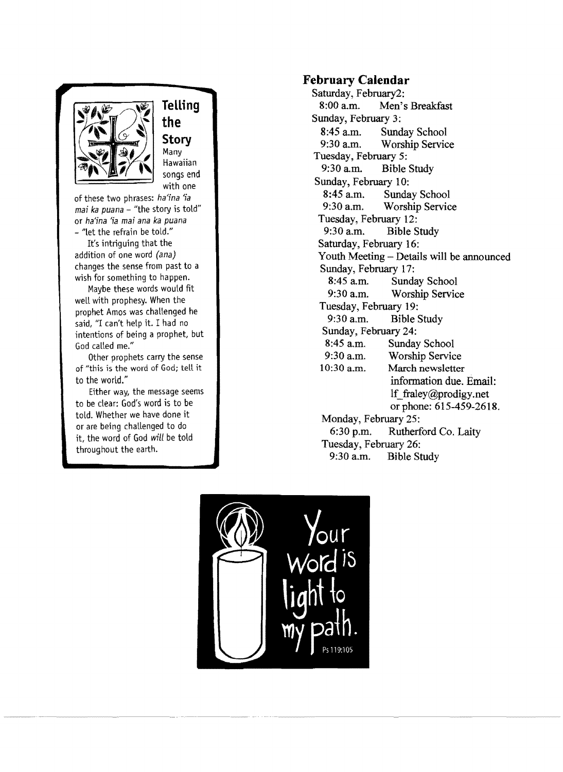

**Telling the Story**  Many Hawaiian songs end with one

of these two phrases: *ha'ina 'ia mai ka puana*  - "the story is told" or *ha'ina* 'ia *ma; ana ka puana* - "let the refrain be told."

It's intriguing that the addition of one word *(ana)*  changes the sense from past to a wish for something to happen.

Maybe these words would fit well with prophesy. When the prophet Amos was challenged he said, "I can't help it. I had no intentions of being a prophet, but God called me."

Other prophets carry the sense of "this is the word of God; tell it to the world."

Either way, the message seems to be clear: God's word is to be told. Whether we have done it or are being challenged to do it, the word of God will be told throughout the earth.

# **February Calendar**

Saturday, February2:<br>8:00 a.m. Men's Men's Breakfast Sunday, February 3: 8:45 a.m. Sunday School<br>9:30 a.m. Worship Servic Worship Service Tuesday, February 5: 9:30 am. Bible Study Sunday, February 10: 8:45 a.m. Sunday School<br>9:30 a.m. Worship Servic Worship Service Tuesday, February 12: 9:30 a.m. Bible Study Saturday, February 16: Youth Meeting – Details will be announced Sunday, February 17: 8:45 am. Sunday School 9:30 a.m. Worship Service Tuesday, February 19: 9:30 a.m. Bible Study Sunday, February 24: 8:45 am. Sunday School 9:30 a.m. Worship Service<br>10:30 a.m. March newsletter March newsletter information due. Email:<br>If fraley@prodigy.net or phone: 615-459-2618. Monday, February 25: 6:30 p.m. Rutherford Co. Laity Tuesday, February 26: 9:30 a.m. Bible Study